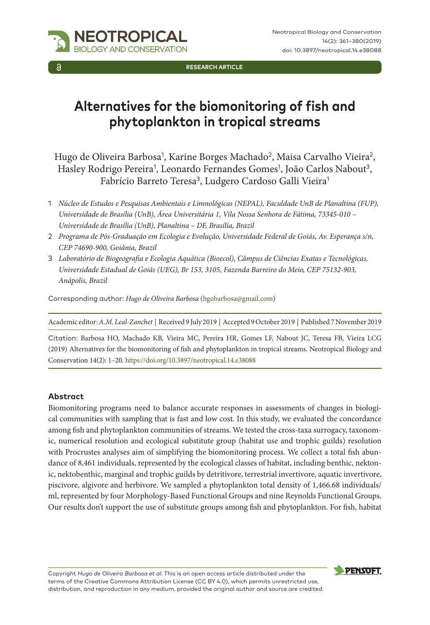

**RESEARCH ARTICLE**

# **Alternatives for the biomonitoring of fish and phytoplankton in tropical streams**

Hugo de Oliveira Barbosa<sup>1</sup>, Karine Borges Machado<sup>2</sup>, Maisa Carvalho Vieira<sup>2</sup>, Hasley Rodrigo Pereira<sup>1</sup>, Leonardo Fernandes Gomes<sup>1</sup>, João Carlos Nabout<sup>3</sup>, Fabrício Barreto Teresa<sup>3</sup>, Ludgero Cardoso Galli Vieira<sup>1</sup>

- 1 *Núcleo de Estudos e Pesquisas Ambientais e Limnológicas (NEPAL), Faculdade UnB de Planaltina (FUP), Universidade de Brasília (UnB), Área Universitária 1, Vila Nossa Senhora de Fátima, 73345-010 – Universidade de Brasília (UnB), Planaltina – DF, Brasília, Brazil*
- 2 *Programa de Pós-Graduação em Ecologia e Evolução, Universidade Federal de Goiás, Av. Esperança s/n, CEP 74690-900, Goiânia, Brazil*
- 3 *Laboratório de Biogeografia e Ecologia Aquática (Bioecol), Câmpus de Ciências Exatas e Tecnológicas, Universidade Estadual de Goiás (UEG), Br 153, 3105, Fazenda Barreiro do Meio, CEP 75132-903, Anápolis, Brazil*

Corresponding author: *Hugo de Oliveira Barbosa* ([hgobarbosa@gmail.com](mailto:hgobarbosa@gmail.com))

Academic editor: *A.M. Leal-Zanchet* | Received 9 July 2019 | Accepted 9 October 2019 | Published 7 November 2019

Citation: Barbosa HO, Machado KB, Vieira MC, Pereira HR, Gomes LF, Nabout JC, Teresa FB, Vieira LCG (2019) Alternatives for the biomonitoring of fish and phytoplankton in tropical streams. Neotropical Biology and Conservation 14(2): 1–20. [https://doi.org/10.3897/neotropical.14.e38088](https://doi.org/%18)

#### **Abstract**

Biomonitoring programs need to balance accurate responses in assessments of changes in biological communities with sampling that is fast and low cost. In this study, we evaluated the concordance among fish and phytoplankton communities of streams. We tested the cross-taxa surrogacy, taxonomic, numerical resolution and ecological substitute group (habitat use and trophic guilds) resolution with Procrustes analyses aim of simplifying the biomonitoring process. We collect a total fish abundance of 8,461 individuals, represented by the ecological classes of habitat, including benthic, nektonic, nektobenthic, marginal and trophic guilds by detritivore, terrestrial invertivore, aquatic invertivore, piscivore, algivore and herbivore. We sampled a phytoplankton total density of 1,466.68 individuals/ ml, represented by four Morphology-Based Functional Groups and nine Reynolds Functional Groups. Our results don't support the use of substitute groups among fish and phytoplankton. For fish, habitat

Copyright *Hugo de Oliveira Barbosa et al*. This is an open access article distributed under the terms of the [Creative Commons Attribution License \(CC BY 4.0\)](http://creativecommons.org/licenses/by/4.0/), which permits unrestricted use, distribution, and reproduction in any medium, provided the original author and source are credited.

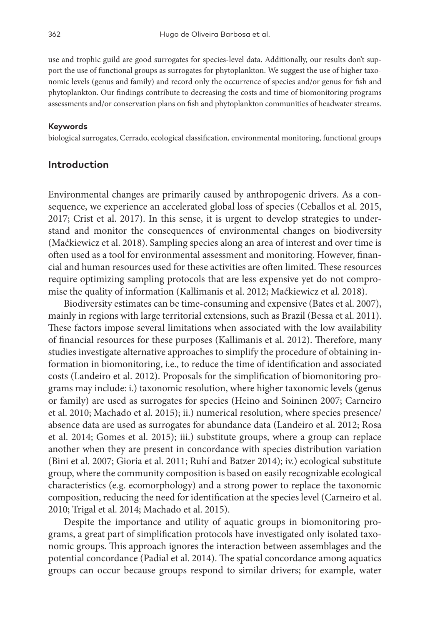use and trophic guild are good surrogates for species-level data. Additionally, our results don't support the use of functional groups as surrogates for phytoplankton. We suggest the use of higher taxonomic levels (genus and family) and record only the occurrence of species and/or genus for fish and phytoplankton. Our findings contribute to decreasing the costs and time of biomonitoring programs assessments and/or conservation plans on fish and phytoplankton communities of headwater streams.

#### **Keywords**

biological surrogates, Cerrado, ecological classification, environmental monitoring, functional groups

#### **Introduction**

Environmental changes are primarily caused by anthropogenic drivers. As a consequence, we experience an accelerated global loss of species (Ceballos et al. 2015, 2017; Crist et al. 2017). In this sense, it is urgent to develop strategies to understand and monitor the consequences of environmental changes on biodiversity (Maćkiewicz et al. 2018). Sampling species along an area of interest and over time is often used as a tool for environmental assessment and monitoring. However, financial and human resources used for these activities are often limited. These resources require optimizing sampling protocols that are less expensive yet do not compromise the quality of information (Kallimanis et al. 2012; Maćkiewicz et al. 2018).

Biodiversity estimates can be time-consuming and expensive (Bates et al. 2007), mainly in regions with large territorial extensions, such as Brazil (Bessa et al. 2011). These factors impose several limitations when associated with the low availability of financial resources for these purposes (Kallimanis et al. 2012). Therefore, many studies investigate alternative approaches to simplify the procedure of obtaining information in biomonitoring, i.e., to reduce the time of identification and associated costs (Landeiro et al. 2012). Proposals for the simplification of biomonitoring programs may include: i.) taxonomic resolution, where higher taxonomic levels (genus or family) are used as surrogates for species (Heino and Soininen 2007; Carneiro et al. 2010; Machado et al. 2015); ii.) numerical resolution, where species presence/ absence data are used as surrogates for abundance data (Landeiro et al. 2012; Rosa et al. 2014; Gomes et al. 2015); iii.) substitute groups, where a group can replace another when they are present in concordance with species distribution variation (Bini et al. 2007; Gioria et al. 2011; Ruhí and Batzer 2014); iv.) ecological substitute group, where the community composition is based on easily recognizable ecological characteristics (e.g. ecomorphology) and a strong power to replace the taxonomic composition, reducing the need for identification at the species level (Carneiro et al. 2010; Trigal et al. 2014; Machado et al. 2015).

Despite the importance and utility of aquatic groups in biomonitoring programs, a great part of simplification protocols have investigated only isolated taxonomic groups. This approach ignores the interaction between assemblages and the potential concordance (Padial et al. 2014). The spatial concordance among aquatics groups can occur because groups respond to similar drivers; for example, water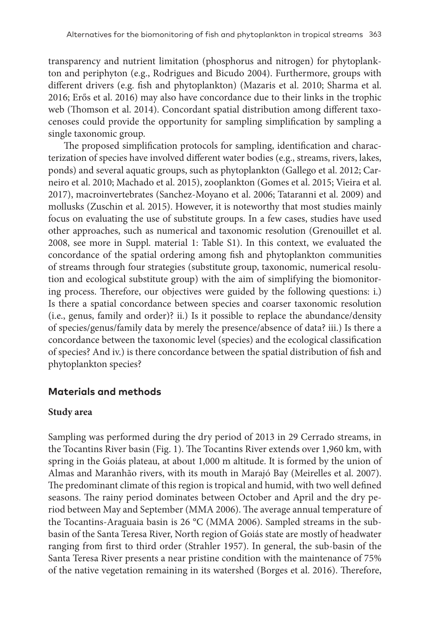transparency and nutrient limitation (phosphorus and nitrogen) for phytoplankton and periphyton (e.g., Rodrigues and Bicudo 2004). Furthermore, groups with different drivers (e.g. fish and phytoplankton) (Mazaris et al. 2010; Sharma et al. 2016; Erős et al. 2016) may also have concordance due to their links in the trophic web (Thomson et al. 2014). Concordant spatial distribution among different taxocenoses could provide the opportunity for sampling simplification by sampling a single taxonomic group.

The proposed simplification protocols for sampling, identification and characterization of species have involved different water bodies (e.g., streams, rivers, lakes, ponds) and several aquatic groups, such as phytoplankton (Gallego et al. 2012; Carneiro et al. 2010; Machado et al. 2015), zooplankton (Gomes et al. 2015; Vieira et al. 2017), macroinvertebrates (Sanchez-Moyano et al. 2006; Tataranni et al. 2009) and mollusks (Zuschin et al. 2015). However, it is noteworthy that most studies mainly focus on evaluating the use of substitute groups. In a few cases, studies have used other approaches, such as numerical and taxonomic resolution (Grenouillet et al. 2008, see more in Suppl. material 1: Table S1). In this context, we evaluated the concordance of the spatial ordering among fish and phytoplankton communities of streams through four strategies (substitute group, taxonomic, numerical resolution and ecological substitute group) with the aim of simplifying the biomonitoring process. Therefore, our objectives were guided by the following questions: i.) Is there a spatial concordance between species and coarser taxonomic resolution (i.e., genus, family and order)? ii.) Is it possible to replace the abundance/density of species/genus/family data by merely the presence/absence of data? iii.) Is there a concordance between the taxonomic level (species) and the ecological classification of species? And iv.) is there concordance between the spatial distribution of fish and phytoplankton species?

# **Materials and methods**

# **Study area**

Sampling was performed during the dry period of 2013 in 29 Cerrado streams, in the Tocantins River basin (Fig. 1). The Tocantins River extends over 1,960 km, with spring in the Goiás plateau, at about 1,000 m altitude. It is formed by the union of Almas and Maranhão rivers, with its mouth in Marajó Bay (Meirelles et al. 2007). The predominant climate of this region is tropical and humid, with two well defined seasons. The rainy period dominates between October and April and the dry period between May and September (MMA 2006). The average annual temperature of the Tocantins-Araguaia basin is 26 °C (MMA 2006). Sampled streams in the subbasin of the Santa Teresa River, North region of Goiás state are mostly of headwater ranging from first to third order (Strahler 1957). In general, the sub-basin of the Santa Teresa River presents a near pristine condition with the maintenance of 75% of the native vegetation remaining in its watershed (Borges et al. 2016). Therefore,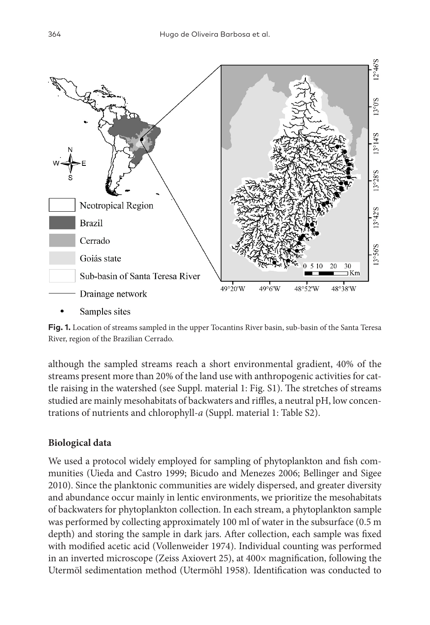

Samples sites

**Fig. 1.** Location of streams sampled in the upper Tocantins River basin, sub-basin of the Santa Teresa River, region of the Brazilian Cerrado.

although the sampled streams reach a short environmental gradient, 40% of the streams present more than 20% of the land use with anthropogenic activities for cattle raising in the watershed (see Suppl. material 1: Fig. S1). The stretches of streams studied are mainly mesohabitats of backwaters and riffles, a neutral pH, low concentrations of nutrients and chlorophyll-*a* (Suppl. material 1: Table S2).

# **Biological data**

We used a protocol widely employed for sampling of phytoplankton and fish communities (Uieda and Castro 1999; Bicudo and Menezes 2006; Bellinger and Sigee 2010). Since the planktonic communities are widely dispersed, and greater diversity and abundance occur mainly in lentic environments, we prioritize the mesohabitats of backwaters for phytoplankton collection. In each stream, a phytoplankton sample was performed by collecting approximately 100 ml of water in the subsurface (0.5 m depth) and storing the sample in dark jars. After collection, each sample was fixed with modified acetic acid (Vollenweider 1974). Individual counting was performed in an inverted microscope (Zeiss Axiovert 25), at 400× magnification, following the Utermöl sedimentation method (Utermöhl 1958). Identification was conducted to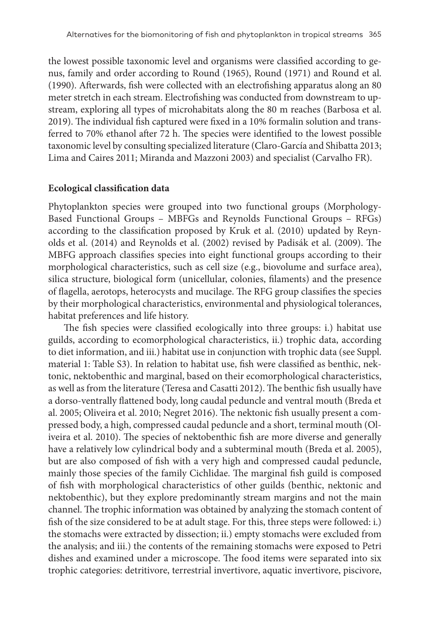the lowest possible taxonomic level and organisms were classified according to genus, family and order according to Round (1965), Round (1971) and Round et al. (1990). Afterwards, fish were collected with an electrofishing apparatus along an 80 meter stretch in each stream. Electrofishing was conducted from downstream to upstream, exploring all types of microhabitats along the 80 m reaches (Barbosa et al. 2019). The individual fish captured were fixed in a 10% formalin solution and transferred to 70% ethanol after 72 h. The species were identified to the lowest possible taxonomic level by consulting specialized literature (Claro-García and Shibatta 2013; Lima and Caires 2011; Miranda and Mazzoni 2003) and specialist (Carvalho FR).

#### **Ecological classification data**

Phytoplankton species were grouped into two functional groups (Morphology-Based Functional Groups – MBFGs and Reynolds Functional Groups – RFGs) according to the classification proposed by Kruk et al. (2010) updated by Reynolds et al. (2014) and Reynolds et al. (2002) revised by Padisák et al. (2009). The MBFG approach classifies species into eight functional groups according to their morphological characteristics, such as cell size (e.g., biovolume and surface area), silica structure, biological form (unicellular, colonies, filaments) and the presence of flagella, aerotops, heterocysts and mucilage. The RFG group classifies the species by their morphological characteristics, environmental and physiological tolerances, habitat preferences and life history.

The fish species were classified ecologically into three groups: i.) habitat use guilds, according to ecomorphological characteristics, ii.) trophic data, according to diet information, and iii.) habitat use in conjunction with trophic data (see Suppl. material 1: Table S3). In relation to habitat use, fish were classified as benthic, nektonic, nektobenthic and marginal, based on their ecomorphological characteristics, as well as from the literature (Teresa and Casatti 2012). The benthic fish usually have a dorso-ventrally flattened body, long caudal peduncle and ventral mouth (Breda et al. 2005; Oliveira et al. 2010; Negret 2016). The nektonic fish usually present a compressed body, a high, compressed caudal peduncle and a short, terminal mouth (Oliveira et al. 2010). The species of nektobenthic fish are more diverse and generally have a relatively low cylindrical body and a subterminal mouth (Breda et al. 2005), but are also composed of fish with a very high and compressed caudal peduncle, mainly those species of the family Cichlidae. The marginal fish guild is composed of fish with morphological characteristics of other guilds (benthic, nektonic and nektobenthic), but they explore predominantly stream margins and not the main channel. The trophic information was obtained by analyzing the stomach content of fish of the size considered to be at adult stage. For this, three steps were followed: i.) the stomachs were extracted by dissection; ii.) empty stomachs were excluded from the analysis; and iii.) the contents of the remaining stomachs were exposed to Petri dishes and examined under a microscope. The food items were separated into six trophic categories: detritivore, terrestrial invertivore, aquatic invertivore, piscivore,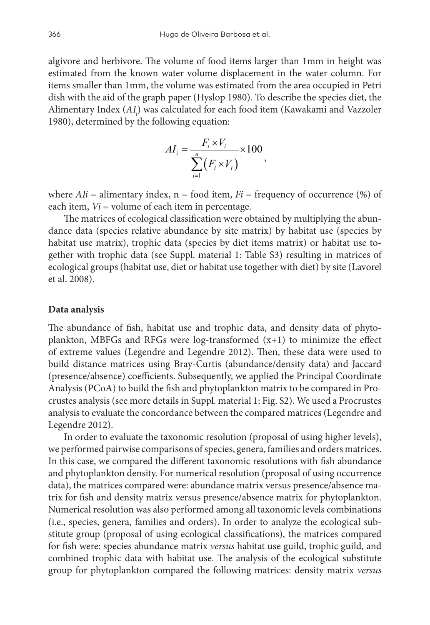algivore and herbivore. The volume of food items larger than 1mm in height was estimated from the known water volume displacement in the water column. For items smaller than 1mm, the volume was estimated from the area occupied in Petri dish with the aid of the graph paper (Hyslop 1980). To describe the species diet, the Alimentary Index (*AIi* ) was calculated for each food item (Kawakami and Vazzoler 1980), determined by the following equation:

$$
AI_i = \frac{F_i \times V_i}{\sum_{i=1}^n (F_i \times V_i)} \times 100,
$$

where  $A I i =$  alimentary index,  $n =$  food item,  $Fi =$  frequency of occurrence (%) of each item,  $Vi =$  volume of each item in percentage.

The matrices of ecological classification were obtained by multiplying the abundance data (species relative abundance by site matrix) by habitat use (species by habitat use matrix), trophic data (species by diet items matrix) or habitat use together with trophic data (see Suppl. material 1: Table S3) resulting in matrices of ecological groups (habitat use, diet or habitat use together with diet) by site (Lavorel et al. 2008).

#### **Data analysis**

The abundance of fish, habitat use and trophic data, and density data of phytoplankton, MBFGs and RFGs were log-transformed (x+1) to minimize the effect of extreme values (Legendre and Legendre 2012). Then, these data were used to build distance matrices using Bray-Curtis (abundance/density data) and Jaccard (presence/absence) coefficients. Subsequently, we applied the Principal Coordinate Analysis (PCoA) to build the fish and phytoplankton matrix to be compared in Procrustes analysis (see more details in Suppl. material 1: Fig. S2). We used a Procrustes analysis to evaluate the concordance between the compared matrices (Legendre and Legendre 2012).

In order to evaluate the taxonomic resolution (proposal of using higher levels), we performed pairwise comparisons of species, genera, families and orders matrices. In this case, we compared the different taxonomic resolutions with fish abundance and phytoplankton density. For numerical resolution (proposal of using occurrence data), the matrices compared were: abundance matrix versus presence/absence matrix for fish and density matrix versus presence/absence matrix for phytoplankton. Numerical resolution was also performed among all taxonomic levels combinations (i.e., species, genera, families and orders). In order to analyze the ecological substitute group (proposal of using ecological classifications), the matrices compared for fish were: species abundance matrix *versus* habitat use guild, trophic guild, and combined trophic data with habitat use. The analysis of the ecological substitute group for phytoplankton compared the following matrices: density matrix *versus*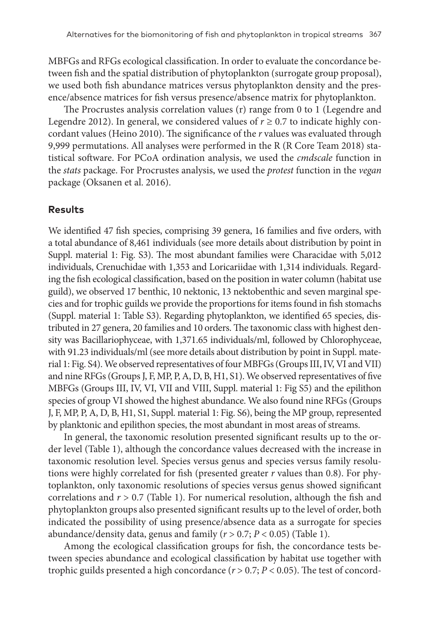MBFGs and RFGs ecological classification. In order to evaluate the concordance between fish and the spatial distribution of phytoplankton (surrogate group proposal), we used both fish abundance matrices versus phytoplankton density and the presence/absence matrices for fish versus presence/absence matrix for phytoplankton.

The Procrustes analysis correlation values (r) range from 0 to 1 (Legendre and Legendre 2012). In general, we considered values of  $r \ge 0.7$  to indicate highly concordant values (Heino 2010). The significance of the *r* values was evaluated through 9,999 permutations. All analyses were performed in the R (R Core Team 2018) statistical software. For PCoA ordination analysis, we used the *cmdscale* function in the *stats* package. For Procrustes analysis, we used the *protest* function in the *vegan* package (Oksanen et al. 2016).

#### **Results**

We identified 47 fish species, comprising 39 genera, 16 families and five orders, with a total abundance of 8,461 individuals (see more details about distribution by point in Suppl. material 1: Fig. S3). The most abundant families were Characidae with 5,012 individuals, Crenuchidae with 1,353 and Loricariidae with 1,314 individuals. Regarding the fish ecological classification, based on the position in water column (habitat use guild), we observed 17 benthic, 10 nektonic, 13 nektobenthic and seven marginal species and for trophic guilds we provide the proportions for items found in fish stomachs (Suppl. material 1: Table S3). Regarding phytoplankton, we identified 65 species, distributed in 27 genera, 20 families and 10 orders. The taxonomic class with highest density was Bacillariophyceae, with 1,371.65 individuals/ml, followed by Chlorophyceae, with 91.23 individuals/ml (see more details about distribution by point in Suppl. material 1: Fig. S4). We observed representatives of four MBFGs (Groups III, IV, VI and VII) and nine RFGs (Groups J, F, MP, P, A, D, B, H1, S1). We observed representatives of five MBFGs (Groups III, IV, VI, VII and VIII, Suppl. material 1: Fig S5) and the epilithon species of group VI showed the highest abundance. We also found nine RFGs (Groups J, F, MP, P, A, D, B, H1, S1, Suppl. material 1: Fig. S6), being the MP group, represented by planktonic and epilithon species, the most abundant in most areas of streams.

In general, the taxonomic resolution presented significant results up to the order level (Table 1), although the concordance values decreased with the increase in taxonomic resolution level. Species versus genus and species versus family resolutions were highly correlated for fish (presented greater *r* values than 0.8). For phytoplankton, only taxonomic resolutions of species versus genus showed significant correlations and *r* > 0.7 (Table 1). For numerical resolution, although the fish and phytoplankton groups also presented significant results up to the level of order, both indicated the possibility of using presence/absence data as a surrogate for species abundance/density data, genus and family (*r* > 0.7; *P* < 0.05) (Table 1).

Among the ecological classification groups for fish, the concordance tests between species abundance and ecological classification by habitat use together with trophic guilds presented a high concordance (*r* > 0.7; *P* < 0.05). The test of concord-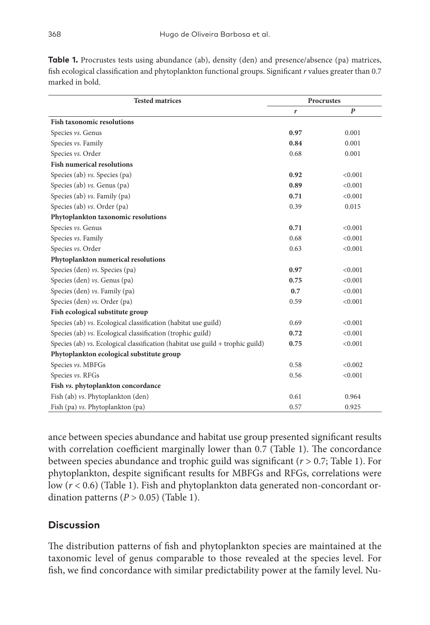| <b>Tested matrices</b>                                                           | Procrustes |         |
|----------------------------------------------------------------------------------|------------|---------|
|                                                                                  | r          | P       |
| <b>Fish taxonomic resolutions</b>                                                |            |         |
| Species vs. Genus                                                                | 0.97       | 0.001   |
| Species vs. Family                                                               | 0.84       | 0.001   |
| Species vs. Order                                                                | 0.68       | 0.001   |
| <b>Fish numerical resolutions</b>                                                |            |         |
| Species (ab) $\nu s$ . Species (pa)                                              | 0.92       | < 0.001 |
| Species (ab) $\nu s$ . Genus (pa)                                                | 0.89       | < 0.001 |
| Species (ab) $\nu s$ . Family (pa)                                               | 0.71       | < 0.001 |
| Species (ab) $\mathit{vs.}$ Order (pa)                                           | 0.39       | 0.015   |
| Phytoplankton taxonomic resolutions                                              |            |         |
| Species vs. Genus                                                                | 0.71       | < 0.001 |
| Species vs. Family                                                               | 0.68       | < 0.001 |
| Species vs. Order                                                                | 0.63       | < 0.001 |
| Phytoplankton numerical resolutions                                              |            |         |
| Species (den) vs. Species (pa)                                                   | 0.97       | < 0.001 |
| Species (den) vs. Genus (pa)                                                     | 0.75       | < 0.001 |
| Species (den) $vs.$ Family (pa)                                                  | 0.7        | < 0.001 |
| Species (den) vs. Order (pa)                                                     | 0.59       | < 0.001 |
| Fish ecological substitute group                                                 |            |         |
| Species (ab) vs. Ecological classification (habitat use guild)                   | 0.69       | < 0.001 |
| Species (ab) vs. Ecological classification (trophic guild)                       | 0.72       | < 0.001 |
| Species (ab) $vs.$ Ecological classification (habitat use guild + trophic guild) | 0.75       | < 0.001 |

**Table 1.** Procrustes tests using abundance (ab), density (den) and presence/absence (pa) matrices, fish ecological classification and phytoplankton functional groups. Significant *r* values greater than 0.7 marked in bold.

ance between species abundance and habitat use group presented significant results with correlation coefficient marginally lower than 0.7 (Table 1). The concordance between species abundance and trophic guild was significant (*r* > 0.7; Table 1). For phytoplankton, despite significant results for MBFGs and RFGs, correlations were low (*r* < 0.6) (Table 1). Fish and phytoplankton data generated non-concordant ordination patterns  $(P > 0.05)$  (Table 1).

Species *vs*. MBFGs  $\leq 0.002$ Species *vs*. RFGs  $\leq 0.001$ 

Fish (ab) *vs*. Phytoplankton (den) 0.61 0.964 Fish (pa) *vs*. Phytoplankton (pa) 0.57 0.925

# **Discussion**

**Phytoplankton ecological substitute group**

**Fish** *vs.* **phytoplankton concordance**

The distribution patterns of fish and phytoplankton species are maintained at the taxonomic level of genus comparable to those revealed at the species level. For fish, we find concordance with similar predictability power at the family level. Nu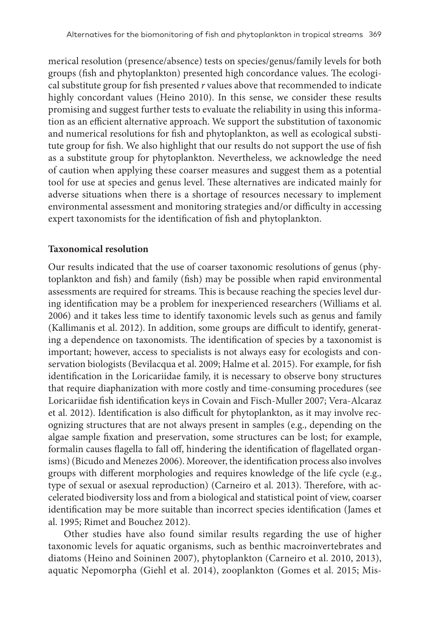merical resolution (presence/absence) tests on species/genus/family levels for both groups (fish and phytoplankton) presented high concordance values. The ecological substitute group for fish presented *r* values above that recommended to indicate highly concordant values (Heino 2010). In this sense, we consider these results promising and suggest further tests to evaluate the reliability in using this information as an efficient alternative approach. We support the substitution of taxonomic and numerical resolutions for fish and phytoplankton, as well as ecological substitute group for fish. We also highlight that our results do not support the use of fish as a substitute group for phytoplankton. Nevertheless, we acknowledge the need of caution when applying these coarser measures and suggest them as a potential tool for use at species and genus level. These alternatives are indicated mainly for adverse situations when there is a shortage of resources necessary to implement environmental assessment and monitoring strategies and/or difficulty in accessing expert taxonomists for the identification of fish and phytoplankton.

#### **Taxonomical resolution**

Our results indicated that the use of coarser taxonomic resolutions of genus (phytoplankton and fish) and family (fish) may be possible when rapid environmental assessments are required for streams. This is because reaching the species level during identification may be a problem for inexperienced researchers (Williams et al. 2006) and it takes less time to identify taxonomic levels such as genus and family (Kallimanis et al. 2012). In addition, some groups are difficult to identify, generating a dependence on taxonomists. The identification of species by a taxonomist is important; however, access to specialists is not always easy for ecologists and conservation biologists (Bevilacqua et al. 2009; Halme et al. 2015). For example, for fish identification in the Loricariidae family, it is necessary to observe bony structures that require diaphanization with more costly and time-consuming procedures (see Loricariidae fish identification keys in Covain and Fisch-Muller 2007; Vera-Alcaraz et al. 2012). Identification is also difficult for phytoplankton, as it may involve recognizing structures that are not always present in samples (e.g., depending on the algae sample fixation and preservation, some structures can be lost; for example, formalin causes flagella to fall off, hindering the identification of flagellated organisms) (Bicudo and Menezes 2006). Moreover, the identification process also involves groups with different morphologies and requires knowledge of the life cycle (e.g., type of sexual or asexual reproduction) (Carneiro et al. 2013). Therefore, with accelerated biodiversity loss and from a biological and statistical point of view, coarser identification may be more suitable than incorrect species identification (James et al. 1995; Rimet and Bouchez 2012).

Other studies have also found similar results regarding the use of higher taxonomic levels for aquatic organisms, such as benthic macroinvertebrates and diatoms (Heino and Soininen 2007), phytoplankton (Carneiro et al. 2010, 2013), aquatic Nepomorpha (Giehl et al. 2014), zooplankton (Gomes et al. 2015; Mis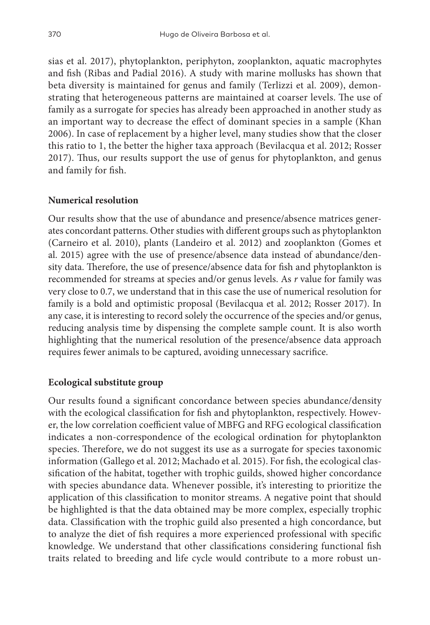sias et al. 2017), phytoplankton, periphyton, zooplankton, aquatic macrophytes and fish (Ribas and Padial 2016). A study with marine mollusks has shown that beta diversity is maintained for genus and family (Terlizzi et al. 2009), demonstrating that heterogeneous patterns are maintained at coarser levels. The use of family as a surrogate for species has already been approached in another study as an important way to decrease the effect of dominant species in a sample (Khan 2006). In case of replacement by a higher level, many studies show that the closer this ratio to 1, the better the higher taxa approach (Bevilacqua et al. 2012; Rosser 2017). Thus, our results support the use of genus for phytoplankton, and genus and family for fish.

### **Numerical resolution**

Our results show that the use of abundance and presence/absence matrices generates concordant patterns. Other studies with different groups such as phytoplankton (Carneiro et al. 2010), plants (Landeiro et al. 2012) and zooplankton (Gomes et al. 2015) agree with the use of presence/absence data instead of abundance/density data. Therefore, the use of presence/absence data for fish and phytoplankton is recommended for streams at species and/or genus levels. As *r* value for family was very close to 0.7, we understand that in this case the use of numerical resolution for family is a bold and optimistic proposal (Bevilacqua et al. 2012; Rosser 2017). In any case, it is interesting to record solely the occurrence of the species and/or genus, reducing analysis time by dispensing the complete sample count. It is also worth highlighting that the numerical resolution of the presence/absence data approach requires fewer animals to be captured, avoiding unnecessary sacrifice.

# **Ecological substitute group**

Our results found a significant concordance between species abundance/density with the ecological classification for fish and phytoplankton, respectively. However, the low correlation coefficient value of MBFG and RFG ecological classification indicates a non-correspondence of the ecological ordination for phytoplankton species. Therefore, we do not suggest its use as a surrogate for species taxonomic information (Gallego et al. 2012; Machado et al. 2015). For fish, the ecological classification of the habitat, together with trophic guilds, showed higher concordance with species abundance data. Whenever possible, it's interesting to prioritize the application of this classification to monitor streams. A negative point that should be highlighted is that the data obtained may be more complex, especially trophic data. Classification with the trophic guild also presented a high concordance, but to analyze the diet of fish requires a more experienced professional with specific knowledge. We understand that other classifications considering functional fish traits related to breeding and life cycle would contribute to a more robust un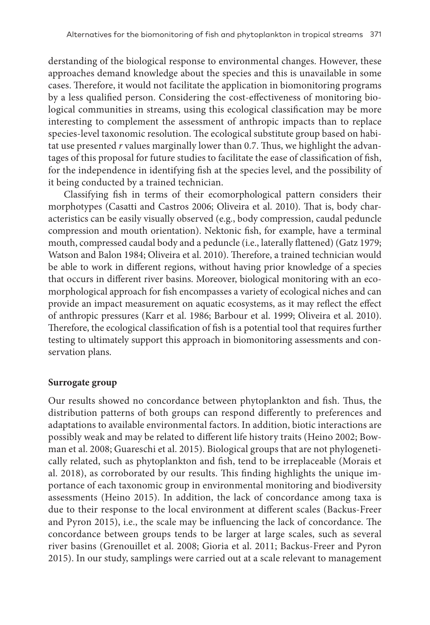derstanding of the biological response to environmental changes. However, these approaches demand knowledge about the species and this is unavailable in some cases. Therefore, it would not facilitate the application in biomonitoring programs by a less qualified person. Considering the cost-effectiveness of monitoring biological communities in streams, using this ecological classification may be more interesting to complement the assessment of anthropic impacts than to replace species-level taxonomic resolution. The ecological substitute group based on habitat use presented *r* values marginally lower than 0.7. Thus, we highlight the advantages of this proposal for future studies to facilitate the ease of classification of fish, for the independence in identifying fish at the species level, and the possibility of it being conducted by a trained technician.

Classifying fish in terms of their ecomorphological pattern considers their morphotypes (Casatti and Castros 2006; Oliveira et al. 2010). That is, body characteristics can be easily visually observed (e.g., body compression, caudal peduncle compression and mouth orientation). Nektonic fish, for example, have a terminal mouth, compressed caudal body and a peduncle (i.e., laterally flattened) (Gatz 1979; Watson and Balon 1984; Oliveira et al. 2010). Therefore, a trained technician would be able to work in different regions, without having prior knowledge of a species that occurs in different river basins. Moreover, biological monitoring with an ecomorphological approach for fish encompasses a variety of ecological niches and can provide an impact measurement on aquatic ecosystems, as it may reflect the effect of anthropic pressures (Karr et al. 1986; Barbour et al. 1999; Oliveira et al. 2010). Therefore, the ecological classification of fish is a potential tool that requires further testing to ultimately support this approach in biomonitoring assessments and conservation plans.

#### **Surrogate group**

Our results showed no concordance between phytoplankton and fish. Thus, the distribution patterns of both groups can respond differently to preferences and adaptations to available environmental factors. In addition, biotic interactions are possibly weak and may be related to different life history traits (Heino 2002; Bowman et al. 2008; Guareschi et al. 2015). Biological groups that are not phylogenetically related, such as phytoplankton and fish, tend to be irreplaceable (Morais et al. 2018), as corroborated by our results. This finding highlights the unique importance of each taxonomic group in environmental monitoring and biodiversity assessments (Heino 2015). In addition, the lack of concordance among taxa is due to their response to the local environment at different scales (Backus-Freer and Pyron 2015), i.e., the scale may be influencing the lack of concordance. The concordance between groups tends to be larger at large scales, such as several river basins (Grenouillet et al. 2008; Gioria et al. 2011; Backus-Freer and Pyron 2015). In our study, samplings were carried out at a scale relevant to management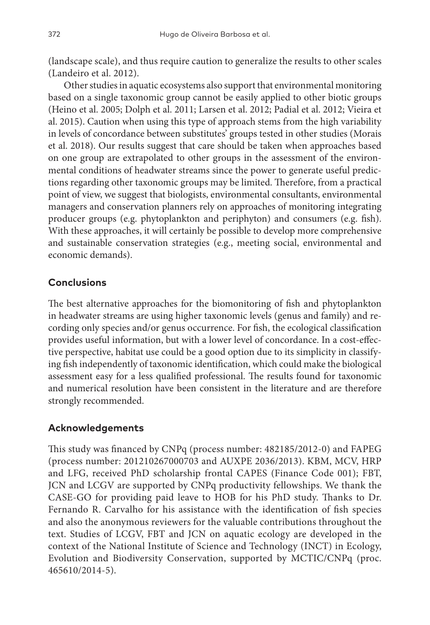(landscape scale), and thus require caution to generalize the results to other scales (Landeiro et al. 2012).

Other studies in aquatic ecosystems also support that environmental monitoring based on a single taxonomic group cannot be easily applied to other biotic groups (Heino et al. 2005; Dolph et al. 2011; Larsen et al. 2012; Padial et al. 2012; Vieira et al. 2015). Caution when using this type of approach stems from the high variability in levels of concordance between substitutes' groups tested in other studies (Morais et al. 2018). Our results suggest that care should be taken when approaches based on one group are extrapolated to other groups in the assessment of the environmental conditions of headwater streams since the power to generate useful predictions regarding other taxonomic groups may be limited. Therefore, from a practical point of view, we suggest that biologists, environmental consultants, environmental managers and conservation planners rely on approaches of monitoring integrating producer groups (e.g. phytoplankton and periphyton) and consumers (e.g. fish). With these approaches, it will certainly be possible to develop more comprehensive and sustainable conservation strategies (e.g., meeting social, environmental and economic demands).

# **Conclusions**

The best alternative approaches for the biomonitoring of fish and phytoplankton in headwater streams are using higher taxonomic levels (genus and family) and recording only species and/or genus occurrence. For fish, the ecological classification provides useful information, but with a lower level of concordance. In a cost-effective perspective, habitat use could be a good option due to its simplicity in classifying fish independently of taxonomic identification, which could make the biological assessment easy for a less qualified professional. The results found for taxonomic and numerical resolution have been consistent in the literature and are therefore strongly recommended.

# **Acknowledgements**

This study was financed by CNPq (process number: 482185/2012-0) and FAPEG (process number: 201210267000703 and AUXPE 2036/2013). KBM, MCV, HRP and LFG, received PhD scholarship frontal CAPES (Finance Code 001); FBT, JCN and LCGV are supported by CNPq productivity fellowships. We thank the CASE-GO for providing paid leave to HOB for his PhD study. Thanks to Dr. Fernando R. Carvalho for his assistance with the identification of fish species and also the anonymous reviewers for the valuable contributions throughout the text. Studies of LCGV, FBT and JCN on aquatic ecology are developed in the context of the National Institute of Science and Technology (INCT) in Ecology, Evolution and Biodiversity Conservation, supported by MCTIC/CNPq (proc. 465610/2014-5).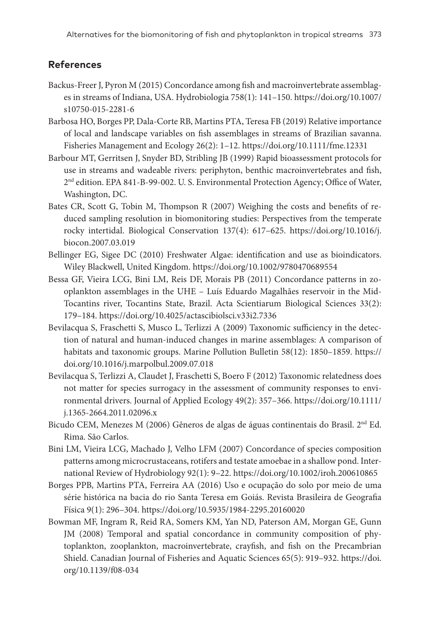### **References**

- Backus-Freer J, Pyron M (2015) Concordance among fish and macroinvertebrate assemblages in streams of Indiana, USA. Hydrobiologia 758(1): 141–150. [https://doi.org/10.1007/](https://doi.org/10.1007/s10750-015-2281-6) [s10750-015-2281-6](https://doi.org/10.1007/s10750-015-2281-6)
- Barbosa HO, Borges PP, Dala-Corte RB, Martins PTA, Teresa FB (2019) Relative importance of local and landscape variables on fish assemblages in streams of Brazilian savanna. Fisheries Management and Ecology 26(2): 1–12. <https://doi.org/10.1111/fme.12331>
- Barbour MT, Gerritsen J, Snyder BD, Stribling JB (1999) Rapid bioassessment protocols for use in streams and wadeable rivers: periphyton, benthic macroinvertebrates and fish, 2nd edition. EPA 841-B-99-002. U. S. Environmental Protection Agency; Office of Water, Washington, DC.
- Bates CR, Scott G, Tobin M, Thompson R (2007) Weighing the costs and benefits of reduced sampling resolution in biomonitoring studies: Perspectives from the temperate rocky intertidal. Biological Conservation 137(4): 617–625. [https://doi.org/10.1016/j.](https://doi.org/10.1016/j.biocon.2007.03.019) [biocon.2007.03.019](https://doi.org/10.1016/j.biocon.2007.03.019)
- Bellinger EG, Sigee DC (2010) Freshwater Algae: identification and use as bioindicators. Wiley Blackwell, United Kingdom. <https://doi.org/10.1002/9780470689554>
- Bessa GF, Vieira LCG, Bini LM, Reis DF, Morais PB (2011) Concordance patterns in zooplankton assemblages in the UHE – Luís Eduardo Magalhães reservoir in the Mid-Tocantins river, Tocantins State, Brazil. Acta Scientiarum Biological Sciences 33(2): 179–184. <https://doi.org/10.4025/actascibiolsci.v33i2.7336>
- Bevilacqua S, Fraschetti S, Musco L, Terlizzi A (2009) Taxonomic sufficiency in the detection of natural and human-induced changes in marine assemblages: A comparison of habitats and taxonomic groups. Marine Pollution Bulletin 58(12): 1850–1859. [https://](https://doi.org/10.1016/j.marpolbul.2009.07.018) [doi.org/10.1016/j.marpolbul.2009.07.018](https://doi.org/10.1016/j.marpolbul.2009.07.018)
- Bevilacqua S, Terlizzi A, Claudet J, Fraschetti S, Boero F (2012) Taxonomic relatedness does not matter for species surrogacy in the assessment of community responses to environmental drivers. Journal of Applied Ecology 49(2): 357–366. [https://doi.org/10.1111/](https://doi.org/10.1111/j.1365-2664.2011.02096.x) [j.1365-2664.2011.02096.x](https://doi.org/10.1111/j.1365-2664.2011.02096.x)
- Bicudo CEM, Menezes M (2006) Gêneros de algas de águas continentais do Brasil. 2<sup>nd</sup> Ed. Rima. São Carlos.
- Bini LM, Vieira LCG, Machado J, Velho LFM (2007) Concordance of species composition patterns among microcrustaceans, rotifers and testate amoebae in a shallow pond. International Review of Hydrobiology 92(1): 9–22. <https://doi.org/10.1002/iroh.200610865>
- Borges PPB, Martins PTA, Ferreira AA (2016) Uso e ocupação do solo por meio de uma série histórica na bacia do rio Santa Teresa em Goiás. Revista Brasileira de Geografia Física 9(1): 296–304.<https://doi.org/10.5935/1984-2295.20160020>
- Bowman MF, Ingram R, Reid RA, Somers KM, Yan ND, Paterson AM, Morgan GE, Gunn JM (2008) Temporal and spatial concordance in community composition of phytoplankton, zooplankton, macroinvertebrate, crayfish, and fish on the Precambrian Shield. Canadian Journal of Fisheries and Aquatic Sciences 65(5): 919–932. [https://doi.](https://doi.org/10.1139/f08-034) [org/10.1139/f08-034](https://doi.org/10.1139/f08-034)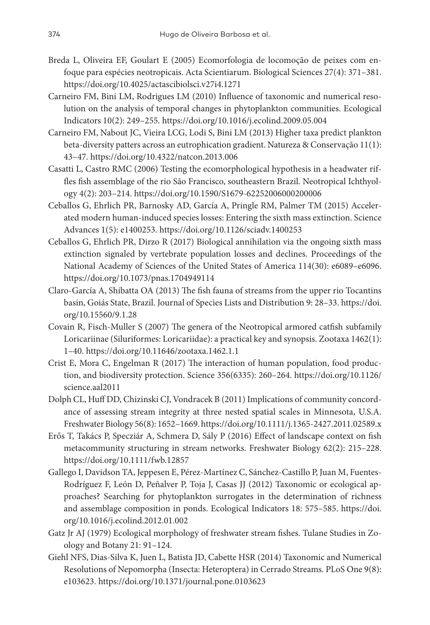- Breda L, Oliveira EF, Goulart E (2005) Ecomorfologia de locomoção de peixes com enfoque para espécies neotropicais. Acta Scientiarum. Biological Sciences 27(4): 371–381. <https://doi.org/10.4025/actascibiolsci.v27i4.1271>
- Carneiro FM, Bini LM, Rodrigues LM (2010) Influence of taxonomic and numerical resolution on the analysis of temporal changes in phytoplankton communities. Ecological Indicators 10(2): 249–255. <https://doi.org/10.1016/j.ecolind.2009.05.004>
- Carneiro FM, Nabout JC, Vieira LCG, Lodi S, Bini LM (2013) Higher taxa predict plankton beta-diversity patters across an eutrophication gradient. Natureza & Conservação 11(1): 43–47.<https://doi.org/10.4322/natcon.2013.006>
- Casatti L, Castro RMC (2006) Testing the ecomorphological hypothesis in a headwater riffles fish assemblage of the rio São Francisco, southeastern Brazil. Neotropical Ichthyology 4(2): 203–214. <https://doi.org/10.1590/S1679-62252006000200006>
- Ceballos G, Ehrlich PR, Barnosky AD, García A, Pringle RM, Palmer TM (2015) Accelerated modern human-induced species losses: Entering the sixth mass extinction. Science Advances 1(5): e1400253. <https://doi.org/10.1126/sciadv.1400253>
- Ceballos G, Ehrlich PR, Dirzo R (2017) Biological annihilation via the ongoing sixth mass extinction signaled by vertebrate population losses and declines. Proceedings of the National Academy of Sciences of the United States of America 114(30): e6089–e6096. <https://doi.org/10.1073/pnas.1704949114>
- Claro-García A, Shibatta OA (2013) The fish fauna of streams from the upper rio Tocantins basin, Goiás State, Brazil. Journal of Species Lists and Distribution 9: 28–33. [https://doi.](https://doi.org/10.15560/9.1.28) [org/10.15560/9.1.28](https://doi.org/10.15560/9.1.28)
- Covain R, Fisch-Muller S (2007) The genera of the Neotropical armored catfish subfamily Loricariinae (Siluriformes: Loricariidae): a practical key and synopsis. Zootaxa 1462(1): 1–40. <https://doi.org/10.11646/zootaxa.1462.1.1>
- Crist E, Mora C, Engelman R (2017) The interaction of human population, food production, and biodiversity protection. Science 356(6335): 260–264. [https://doi.org/10.1126/](https://doi.org/10.1126/science.aal2011) [science.aal2011](https://doi.org/10.1126/science.aal2011)
- Dolph CL, Huff DD, Chizinski CJ, Vondracek B (2011) Implications of community concordance of assessing stream integrity at three nested spatial scales in Minnesota, U.S.A. Freshwater Biology 56(8): 1652–1669.<https://doi.org/10.1111/j.1365-2427.2011.02589.x>
- Erős T, Takács P, Specziár A, Schmera D, Sály P (2016) Effect of landscape context on fish metacommunity structuring in stream networks. Freshwater Biology 62(2): 215–228. <https://doi.org/10.1111/fwb.12857>
- Gallego I, Davidson TA, Jeppesen E, Pérez-Martínez C, Sánchez-Castillo P, Juan M, Fuentes-Rodríguez F, León D, Peñalver P, Toja J, Casas JJ (2012) Taxonomic or ecological approaches? Searching for phytoplankton surrogates in the determination of richness and assemblage composition in ponds. Ecological Indicators 18: 575–585. [https://doi.](https://doi.org/10.1016/j.ecolind.2012.01.002) [org/10.1016/j.ecolind.2012.01.002](https://doi.org/10.1016/j.ecolind.2012.01.002)
- Gatz Jr AJ (1979) Ecological morphology of freshwater stream fishes. Tulane Studies in Zoology and Botany 21: 91–124.
- Giehl NFS, Dias-Silva K, Juen L, Batista JD, Cabette HSR (2014) Taxonomic and Numerical Resolutions of Nepomorpha (Insecta: Heteroptera) in Cerrado Streams. PLoS One 9(8): e103623.<https://doi.org/10.1371/journal.pone.0103623>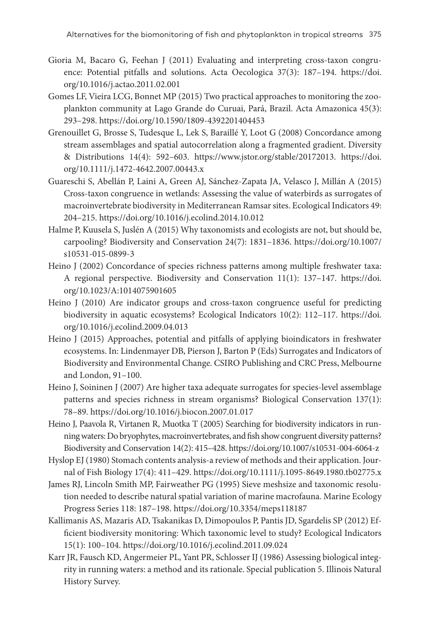- Gioria M, Bacaro G, Feehan J (2011) Evaluating and interpreting cross-taxon congruence: Potential pitfalls and solutions. Acta Oecologica 37(3): 187–194. [https://doi.](https://doi.org/10.1016/j.actao.2011.02.001) [org/10.1016/j.actao.2011.02.001](https://doi.org/10.1016/j.actao.2011.02.001)
- Gomes LF, Vieira LCG, Bonnet MP (2015) Two practical approaches to monitoring the zooplankton community at Lago Grande do Curuai, Pará, Brazil. Acta Amazonica 45(3): 293–298. <https://doi.org/10.1590/1809-4392201404453>
- Grenouillet G, Brosse S, Tudesque L, Lek S, Baraillé Y, Loot G (2008) Concordance among stream assemblages and spatial autocorrelation along a fragmented gradient. Diversity & Distributions 14(4): 592–603. <https://www.jstor.org/stable/20172013>. [https://doi.](https://doi.org/10.1111/j.1472-4642.2007.00443.x) [org/10.1111/j.1472-4642.2007.00443.x](https://doi.org/10.1111/j.1472-4642.2007.00443.x)
- Guareschi S, Abellán P, Laini A, Green AJ, Sánchez-Zapata JA, Velasco J, Millán A (2015) Cross‐taxon congruence in wetlands: Assessing the value of waterbirds as surrogates of macroinvertebrate biodiversity in Mediterranean Ramsar sites. Ecological Indicators 49: 204–215. <https://doi.org/10.1016/j.ecolind.2014.10.012>
- Halme P, Kuusela S, Juslén A (2015) Why taxonomists and ecologists are not, but should be, carpooling? Biodiversity and Conservation 24(7): 1831–1836. [https://doi.org/10.1007/](https://doi.org/10.1007/s10531-015-0899-3) [s10531-015-0899-3](https://doi.org/10.1007/s10531-015-0899-3)
- Heino J (2002) Concordance of species richness patterns among multiple freshwater taxa: A regional perspective. Biodiversity and Conservation 11(1): 137–147. [https://doi.](https://doi.org/10.1023/A:1014075901605) [org/10.1023/A:1014075901605](https://doi.org/10.1023/A:1014075901605)
- Heino J (2010) Are indicator groups and cross-taxon congruence useful for predicting biodiversity in aquatic ecosystems? Ecological Indicators 10(2): 112–117. [https://doi.](https://doi.org/10.1016/j.ecolind.2009.04.013) [org/10.1016/j.ecolind.2009.04.013](https://doi.org/10.1016/j.ecolind.2009.04.013)
- Heino J (2015) Approaches, potential and pitfalls of applying bioindicators in freshwater ecosystems. In: Lindenmayer DB, Pierson J, Barton P (Eds) Surrogates and Indicators of Biodiversity and Environmental Change. CSIRO Publishing and CRC Press, Melbourne and London, 91–100.
- Heino J, Soininen J (2007) Are higher taxa adequate surrogates for species-level assemblage patterns and species richness in stream organisms? Biological Conservation 137(1): 78–89.<https://doi.org/10.1016/j.biocon.2007.01.017>
- Heino J, Paavola R, Virtanen R, Muotka T (2005) Searching for biodiversity indicators in running waters: Do bryophytes, macroinvertebrates, and fish show congruent diversity patterns? Biodiversity and Conservation 14(2): 415–428.<https://doi.org/10.1007/s10531-004-6064-z>
- Hyslop EJ (1980) Stomach contents analysis-a review of methods and their application. Journal of Fish Biology 17(4): 411–429. <https://doi.org/10.1111/j.1095-8649.1980.tb02775.x>
- James RJ, Lincoln Smith MP, Fairweather PG (1995) Sieve meshsize and taxonomic resolution needed to describe natural spatial variation of marine macrofauna. Marine Ecology Progress Series 118: 187–198.<https://doi.org/10.3354/meps118187>
- Kallimanis AS, Mazaris AD, Tsakanikas D, Dimopoulos P, Pantis JD, Sgardelis SP (2012) Efficient biodiversity monitoring: Which taxonomic level to study? Ecological Indicators 15(1): 100–104. <https://doi.org/10.1016/j.ecolind.2011.09.024>
- Karr JR, Fausch KD, Angermeier PL, Yant PR, Schlosser IJ (1986) Assessing biological integrity in running waters: a method and its rationale. Special publication 5. Illinois Natural History Survey.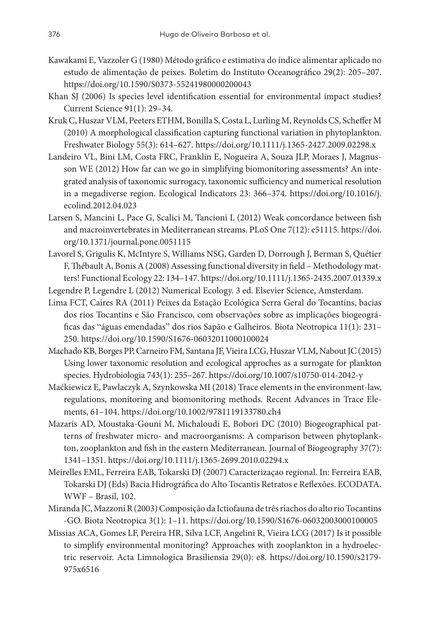- Kawakami E, Vazzoler G (1980) Método gráfico e estimativa do índice alimentar aplicado no estudo de alimentação de peixes. Boletim do Instituto Oceanográfico 29(2): 205–207. <https://doi.org/10.1590/S0373-55241980000200043>
- Khan SJ (2006) Is species level identification essential for environmental impact studies? Current Science 91(1): 29–34.
- Kruk C, Huszar VLM, Peeters ETHM, Bonilla S, Costa L, Lurling M, Reynolds CS, Scheffer M (2010) A morphological classification capturing functional variation in phytoplankton. Freshwater Biology 55(3): 614–627. <https://doi.org/10.1111/j.1365-2427.2009.02298.x>
- Landeiro VL, Bini LM, Costa FRC, Franklin E, Nogueira A, Souza JLP, Moraes J, Magnusson WE (2012) How far can we go in simplifying biomonitoring assessments? An integrated analysis of taxonomic surrogacy, taxonomic sufficiency and numerical resolution in a megadiverse region. Ecological Indicators 23: 366–374. [https://doi.org/10.1016/j.](https://doi.org/10.1016/j.ecolind.2012.04.023) [ecolind.2012.04.023](https://doi.org/10.1016/j.ecolind.2012.04.023)
- Larsen S, Mancini L, Pace G, Scalici M, Tancioni L (2012) Weak concordance between fish and macroinvertebrates in Mediterranean streams. PLoS One 7(12): e51115. [https://doi.](https://doi.org/10.1371/journal.pone.0051115) [org/10.1371/journal.pone.0051115](https://doi.org/10.1371/journal.pone.0051115)
- Lavorel S, Grigulis K, McIntyre S, Williams NSG, Garden D, Dorrough J, Berman S, Quétier F, Thébault A, Bonis A (2008) Assessing functional diversity in field – Methodology matters! Functional Ecology 22: 134–147.<https://doi.org/10.1111/j.1365-2435.2007.01339.x>
- Legendre P, Legendre L (2012) Numerical Ecology. 3 ed. Elsevier Science, Amsterdam.
- Lima FCT, Caires RA (2011) Peixes da Estação Ecológica Serra Geral do Tocantins, bacias dos rios Tocantins e São Francisco, com observações sobre as implicações biogeográficas das "águas emendadas" dos rios Sapão e Galheiros. Biota Neotropica 11(1): 231– 250.<https://doi.org/10.1590/S1676-06032011000100024>
- Machado KB, Borges PP, Carneiro FM, Santana JF, Vieira LCG, Huszar VLM, Nabout JC (2015) Using lower taxonomic resolution and ecological approches as a surrogate for plankton species. Hydrobiologia 743(1): 255–267.<https://doi.org/10.1007/s10750-014-2042-y>
- Maćkiewicz E, Pawlaczyk A, Szynkowska MI (2018) Trace elements in the environment-law, regulations, monitoring and biomonitoring methods. Recent Advances in Trace Elements, 61–104.<https://doi.org/10.1002/9781119133780.ch4>
- Mazaris AD, Moustaka-Gouni M, Michaloudi E, Bobori DC (2010) Biogeographical patterns of freshwater micro- and macroorganisms: A comparison between phytoplankton, zooplankton and fish in the eastern Mediterranean. Journal of Biogeography 37(7): 1341–1351. <https://doi.org/10.1111/j.1365-2699.2010.02294.x>
- Meirelles EML, Ferreira EAB, Tokarski DJ (2007) Caracterizaçao regional. In: Ferreira EAB, Tokarski DJ (Eds) Bacia Hidrográfica do Alto Tocantis Retratos e Reflexões. ECODATA. WWF – Brasil, 102.
- Miranda JC, Mazzoni R (2003) Composição da Ictiofauna de três riachos do alto rio Tocantins -GO. Biota Neotropica 3(1): 1–11.<https://doi.org/10.1590/S1676-06032003000100005>
- Missias ACA, Gomes LF, Pereira HR, Silva LCF, Angelini R, Vieira LCG (2017) Is it possible to simplify environmental monitoring? Approaches with zooplankton in a hydroelectric reservoir. Acta Limnologica Brasiliensia 29(0): e8. [https://doi.org/10.1590/s2179-](https://doi.org/10.1590/s2179-975x6516) [975x6516](https://doi.org/10.1590/s2179-975x6516)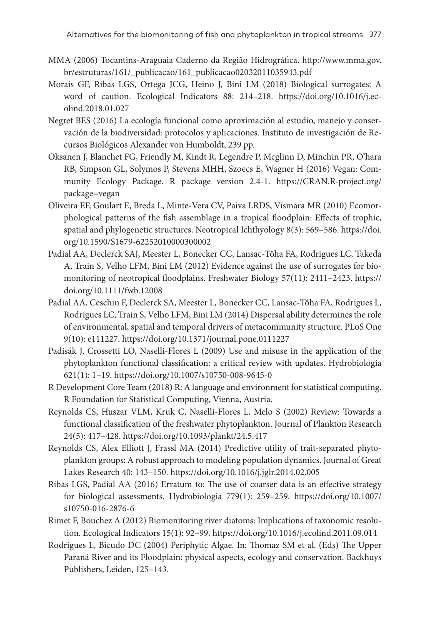- MMA (2006) Tocantins-Araguaia Caderno da Região Hidrográfica. [http://www.mma.gov.](http://www.mma.gov.br/estruturas/161/_publicacao/161_publicacao02032011035943.pdf) [br/estruturas/161/\\_publicacao/161\\_publicacao02032011035943.pdf](http://www.mma.gov.br/estruturas/161/_publicacao/161_publicacao02032011035943.pdf)
- Morais GF, Ribas LGS, Ortega JCG, Heino J, Bini LM (2018) Biological surrogates: A word of caution. Ecological Indicators 88: 214–218. [https://doi.org/10.1016/j.ec](https://doi.org/10.1016/j.ecolind.2018.01.027)[olind.2018.01.027](https://doi.org/10.1016/j.ecolind.2018.01.027)
- Negret BES (2016) La ecología funcional como aproximación al estudio, manejo y conservación de la biodiversidad: protocolos y aplicaciones. Instituto de investigación de Recursos Biológicos Alexander von Humboldt, 239 pp.
- Oksanen J, Blanchet FG, Friendly M, Kindt R, Legendre P, Mcglinn D, Minchin PR, O'hara RB, Simpson GL, Solymos P, Stevens MHH, Szoecs E, Wagner H (2016) Vegan: Community Ecology Package. R package version 2.4-1. [https://CRAN.R-project.org/](https://CRAN.R-project.org/package=vegan) [package=vegan](https://CRAN.R-project.org/package=vegan)
- Oliveira EF, Goulart E, Breda L, Minte-Vera CV, Paiva LRDS, Vismara MR (2010) Ecomorphological patterns of the fish assemblage in a tropical floodplain: Effects of trophic, spatial and phylogenetic structures. Neotropical Ichthyology 8(3): 569–586. [https://doi.](https://doi.org/10.1590/S1679-62252010000300002) [org/10.1590/S1679-62252010000300002](https://doi.org/10.1590/S1679-62252010000300002)
- Padial AA, Declerck SAJ, Meester L, Bonecker CC, Lansac-Tôha FA, Rodrigues LC, Takeda A, Train S, Velho LFM, Bini LM (2012) Evidence against the use of surrogates for biomonitoring of neotropical floodplains. Freshwater Biology 57(11): 2411–2423. [https://](https://doi.org/10.1111/fwb.12008) [doi.org/10.1111/fwb.12008](https://doi.org/10.1111/fwb.12008)
- Padial AA, Ceschin F, Declerck SA, Meester L, Bonecker CC, Lansac-Tôha FA, Rodrigues L, Rodrigues LC, Train S, Velho LFM, Bini LM (2014) Dispersal ability determines the role of environmental, spatial and temporal drivers of metacommunity structure. PLoS One 9(10): e111227. <https://doi.org/10.1371/journal.pone.0111227>
- Padisák J, Crossetti LO, Naselli-Flores L (2009) Use and misuse in the application of the phytoplankton functional classification: a critical review with updates. Hydrobiologia 621(1): 1–19.<https://doi.org/10.1007/s10750-008-9645-0>
- R Development Core Team (2018) R: A language and environment for statistical computing. R Foundation for Statistical Computing, Vienna, Austria.
- Reynolds CS, Huszar VLM, Kruk C, Naselli-Flores L, Melo S (2002) Review: Towards a functional classification of the freshwater phytoplankton. Journal of Plankton Research 24(5): 417–428. <https://doi.org/10.1093/plankt/24.5.417>
- Reynolds CS, Alex Elliott J, Frassl MA (2014) Predictive utility of trait-separated phytoplankton groups: A robust approach to modeling population dynamics. Journal of Great Lakes Research 40: 143–150.<https://doi.org/10.1016/j.jglr.2014.02.005>
- Ribas LGS, Padial AA (2016) Erratum to: The use of coarser data is an effective strategy for biological assessments. Hydrobiologia 779(1): 259–259. [https://doi.org/10.1007/](https://doi.org/10.1007/s10750-016-2876-6) [s10750-016-2876-6](https://doi.org/10.1007/s10750-016-2876-6)
- Rimet F, Bouchez A (2012) Biomonitoring river diatoms: Implications of taxonomic resolution. Ecological Indicators 15(1): 92–99.<https://doi.org/10.1016/j.ecolind.2011.09.014>
- Rodrigues L, Bicudo DC (2004) Periphytic Algae. In: Thomaz SM et al. (Eds) The Upper Paraná River and its Floodplain: physical aspects, ecology and conservation. Backhuys Publishers, Leiden, 125–143.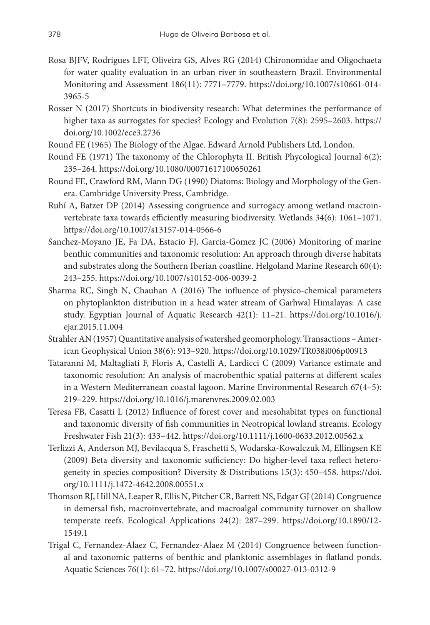- Rosa BJFV, Rodrigues LFT, Oliveira GS, Alves RG (2014) Chironomidae and Oligochaeta for water quality evaluation in an urban river in southeastern Brazil. Environmental Monitoring and Assessment 186(11): 7771–7779. [https://doi.org/10.1007/s10661-014-](https://doi.org/10.1007/s10661-014-3965-5) [3965-5](https://doi.org/10.1007/s10661-014-3965-5)
- Rosser N (2017) Shortcuts in biodiversity research: What determines the performance of higher taxa as surrogates for species? Ecology and Evolution 7(8): 2595-2603. [https://](https://doi.org/10.1002/ece3.2736) [doi.org/10.1002/ece3.2736](https://doi.org/10.1002/ece3.2736)
- Round FE (1965) The Biology of the Algae. Edward Arnold Publishers Ltd, London.
- Round FE (1971) The taxonomy of the Chlorophyta II. British Phycological Journal 6(2): 235–264. <https://doi.org/10.1080/00071617100650261>
- Round FE, Crawford RM, Mann DG (1990) Diatoms: Biology and Morphology of the Genera. Cambridge University Press, Cambridge.
- Ruhí A, Batzer DP (2014) Assessing congruence and surrogacy among wetland macroinvertebrate taxa towards efficiently measuring biodiversity. Wetlands 34(6): 1061–1071. <https://doi.org/10.1007/s13157-014-0566-6>
- Sanchez-Moyano JE, Fa DA, Estacio FJ, Garcia-Gomez JC (2006) Monitoring of marine benthic communities and taxonomic resolution: An approach through diverse habitats and substrates along the Southern Iberian coastline. Helgoland Marine Research 60(4): 243–255. <https://doi.org/10.1007/s10152-006-0039-2>
- Sharma RC, Singh N, Chauhan A (2016) The influence of physico-chemical parameters on phytoplankton distribution in a head water stream of Garhwal Himalayas: A case study. Egyptian Journal of Aquatic Research 42(1): 11–21. [https://doi.org/10.1016/j.](https://doi.org/10.1016/j.ejar.2015.11.004) [ejar.2015.11.004](https://doi.org/10.1016/j.ejar.2015.11.004)
- Strahler AN (1957) Quantitative analysis of watershed geomorphology. Transactions American Geophysical Union 38(6): 913–920. <https://doi.org/10.1029/TR038i006p00913>
- Tataranni M, Maltagliati F, Floris A, Castelli A, Lardicci C (2009) Variance estimate and taxonomic resolution: An analysis of macrobenthic spatial patterns at different scales in a Western Mediterranean coastal lagoon. Marine Environmental Research 67(4–5): 219–229. <https://doi.org/10.1016/j.marenvres.2009.02.003>
- Teresa FB, Casatti L (2012) Influence of forest cover and mesohabitat types on functional and taxonomic diversity of fish communities in Neotropical lowland streams. Ecology Freshwater Fish 21(3): 433–442.<https://doi.org/10.1111/j.1600-0633.2012.00562.x>
- Terlizzi A, Anderson MJ, Bevilacqua S, Fraschetti S, Wodarska-Kowalczuk M, Ellingsen KE (2009) Beta diversity and taxonomic sufficiency: Do higher-level taxa reflect heterogeneity in species composition? Diversity & Distributions 15(3): 450–458. [https://doi.](https://doi.org/10.1111/j.1472-4642.2008.00551.x) [org/10.1111/j.1472-4642.2008.00551.x](https://doi.org/10.1111/j.1472-4642.2008.00551.x)
- Thomson RJ, Hill NA, Leaper R, Ellis N, Pitcher CR, Barrett NS, Edgar GJ (2014) Congruence in demersal fish, macroinvertebrate, and macroalgal community turnover on shallow temperate reefs. Ecological Applications 24(2): 287–299. [https://doi.org/10.1890/12-](https://doi.org/10.1890/12-1549.1) [1549.1](https://doi.org/10.1890/12-1549.1)
- Trigal C, Fernandez-Alaez C, Fernandez-Alaez M (2014) Congruence between functional and taxonomic patterns of benthic and planktonic assemblages in flatland ponds. Aquatic Sciences 76(1): 61–72. <https://doi.org/10.1007/s00027-013-0312-9>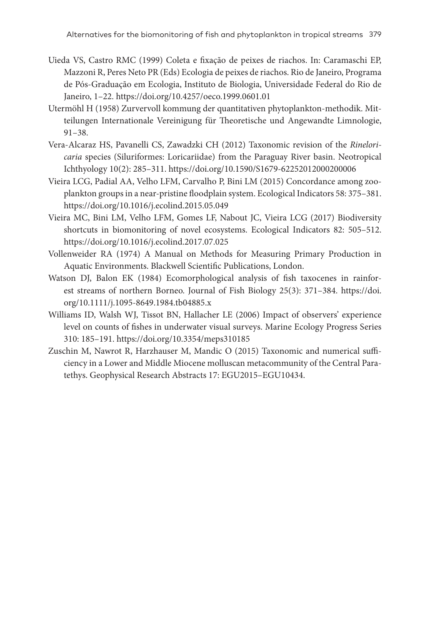- Uieda VS, Castro RMC (1999) Coleta e fixação de peixes de riachos. In: Caramaschi EP, Mazzoni R, Peres Neto PR (Eds) Ecologia de peixes de riachos. Rio de Janeiro, Programa de Pós-Graduação em Ecologia, Instituto de Biologia, Universidade Federal do Rio de Janeiro, 1–22.<https://doi.org/10.4257/oeco.1999.0601.01>
- Utermöhl H (1958) Zurvervoll kommung der quantitativen phytoplankton-methodik. Mitteilungen Internationale Vereinigung für Theoretische und Angewandte Limnologie, 91–38.
- Vera-Alcaraz HS, Pavanelli CS, Zawadzki CH (2012) Taxonomic revision of the *Rineloricaria* species (Siluriformes: Loricariidae) from the Paraguay River basin. Neotropical Ichthyology 10(2): 285–311. <https://doi.org/10.1590/S1679-62252012000200006>
- Vieira LCG, Padial AA, Velho LFM, Carvalho P, Bini LM (2015) Concordance among zooplankton groups in a near-pristine floodplain system. Ecological Indicators 58: 375–381. <https://doi.org/10.1016/j.ecolind.2015.05.049>
- Vieira MC, Bini LM, Velho LFM, Gomes LF, Nabout JC, Vieira LCG (2017) Biodiversity shortcuts in biomonitoring of novel ecosystems. Ecological Indicators 82: 505–512. <https://doi.org/10.1016/j.ecolind.2017.07.025>
- Vollenweider RA (1974) A Manual on Methods for Measuring Primary Production in Aquatic Environments. Blackwell Scientific Publications, London.
- Watson DJ, Balon EK (1984) Ecomorphological analysis of fish taxocenes in rainforest streams of northern Borneo. Journal of Fish Biology 25(3): 371–384. [https://doi.](https://doi.org/10.1111/j.1095-8649.1984.tb04885.x) [org/10.1111/j.1095-8649.1984.tb04885.x](https://doi.org/10.1111/j.1095-8649.1984.tb04885.x)
- Williams ID, Walsh WJ, Tissot BN, Hallacher LE (2006) Impact of observers' experience level on counts of fishes in underwater visual surveys. Marine Ecology Progress Series 310: 185–191. <https://doi.org/10.3354/meps310185>
- Zuschin M, Nawrot R, Harzhauser M, Mandic O (2015) Taxonomic and numerical sufficiency in a Lower and Middle Miocene molluscan metacommunity of the Central Paratethys. Geophysical Research Abstracts 17: EGU2015–EGU10434.